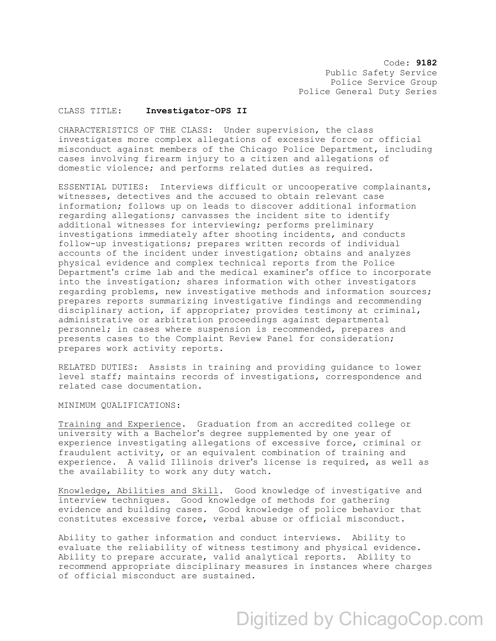Code: **9182** Public Safety Service Police Service Group Police General Duty Series

## CLASS TITLE: **Investigator-OPS II**

CHARACTERISTICS OF THE CLASS: Under supervision, the class investigates more complex allegations of excessive force or official misconduct against members of the Chicago Police Department, including cases involving firearm injury to a citizen and allegations of domestic violence; and performs related duties as required.

ESSENTIAL DUTIES: Interviews difficult or uncooperative complainants, witnesses, detectives and the accused to obtain relevant case information; follows up on leads to discover additional information regarding allegations; canvasses the incident site to identify additional witnesses for interviewing; performs preliminary investigations immediately after shooting incidents, and conducts follow-up investigations; prepares written records of individual accounts of the incident under investigation; obtains and analyzes physical evidence and complex technical reports from the Police Department's crime lab and the medical examiner's office to incorporate into the investigation; shares information with other investigators regarding problems, new investigative methods and information sources; prepares reports summarizing investigative findings and recommending disciplinary action, if appropriate; provides testimony at criminal, administrative or arbitration proceedings against departmental personnel; in cases where suspension is recommended, prepares and presents cases to the Complaint Review Panel for consideration; prepares work activity reports.

RELATED DUTIES: Assists in training and providing guidance to lower level staff; maintains records of investigations, correspondence and related case documentation.

MINIMUM QUALIFICATIONS:

Training and Experience. Graduation from an accredited college or university with a Bachelor's degree supplemented by one year of experience investigating allegations of excessive force, criminal or fraudulent activity, or an equivalent combination of training and experience. A valid Illinois driver's license is required, as well as the availability to work any duty watch.

Knowledge, Abilities and Skill. Good knowledge of investigative and interview techniques. Good knowledge of methods for gathering evidence and building cases. Good knowledge of police behavior that constitutes excessive force, verbal abuse or official misconduct.

Ability to gather information and conduct interviews. Ability to evaluate the reliability of witness testimony and physical evidence. Ability to prepare accurate, valid analytical reports. Ability to recommend appropriate disciplinary measures in instances where charges of official misconduct are sustained.

## Digitized by ChicagoCop.com